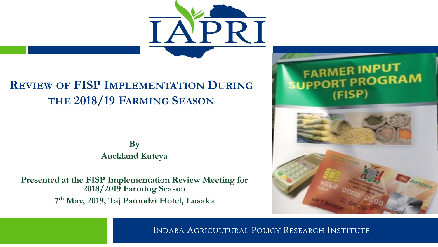

#### **REVIEW OF FISP IMPLEMENTATION DURING THE 2018/19 FARMING SEASON**

**By Auckland Kuteya**

**Presented at the FISP Implementation Review Meeting for 2018/2019 Farming Season 7 th May, 2019, Taj Pamodzi Hotel, Lusaka**



INDABA AGRICULTURAL POLICY RESEARCH INSTITUTE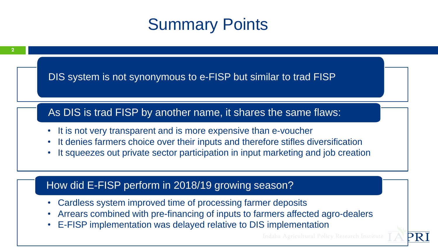### Summary Points



• E-FISP implementation was delayed relative to DIS implementation

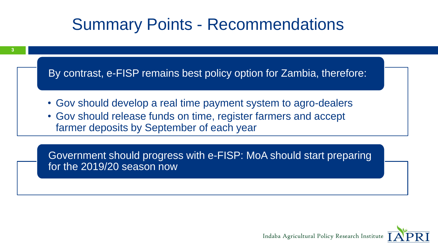### Summary Points - Recommendations

By contrast, e-FISP remains best policy option for Zambia, therefore:

**3**

- Gov should develop a real time payment system to agro-dealers
- Gov should release funds on time, register farmers and accept farmer deposits by September of each year

Government should progress with e-FISP: MoA should start preparing for the 2019/20 season now

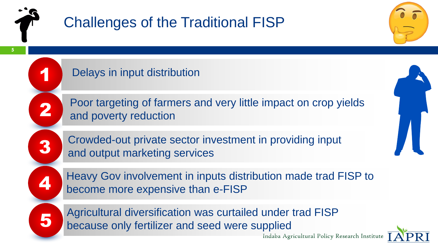

1

2

3

## Challenges of the Traditional FISP

**5**

Delays in input distribution

Poor targeting of farmers and very little impact on crop yields and poverty reduction

Crowded-out private sector investment in providing input and output marketing services



Heavy Gov involvement in inputs distribution made trad FISP to become more expensive than e-FISP

Agricultural diversification was curtailed under trad FISP<br>because only fertilizer and seed were supplied

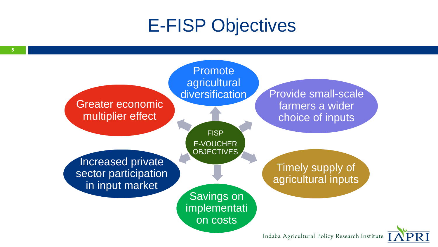## E-FISP Objectives



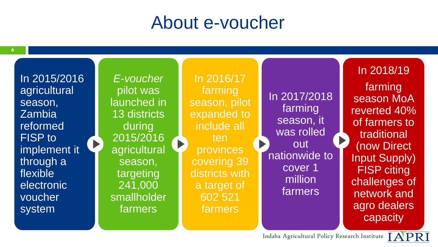## About e-voucher

In 2015/2016 agricultural season, Zambia reformed FISP to implement it through a flexible electronic voucher system

*E-voucher*  pilot was launched in 13 districts during 2015/2016 agricultural season, targeting 241,000 smallholder farmers

 $\blacktriangleright$ 

In 2016/17 farming season, pilot expanded to include all ten provinces covering 39 districts with a target of 602 521 farmers

In 2017/2018 farming season, it was rolled  $\blacktriangleright$ out nationwide to cover 1 million farmers

In 2018/19 farming season MoA reverted 40% of farmers to traditional (now Direct Input Supply) FISP citing challenges of network and agro dealers capacity

Indaba Agricultural Policy Research Institute

 $\blacktriangleright$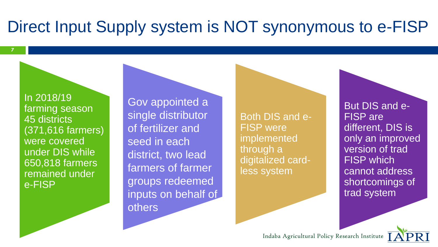### Direct Input Supply system is NOT synonymous to e-FISP

In 2018/19 farming season 45 districts (371,616 farmers) were covered under DIS while 650,818 farmers remained under e-FISP

**7**

Gov appointed a single distributor of fertilizer and seed in each district, two lead farmers of farmer groups redeemed inputs on behalf of others

Both DIS and e-FISP were implemented through a digitalized cardless system

But DIS and e-FISP are different, DIS is only an improved version of trad **FISP** which cannot address shortcomings of trad system

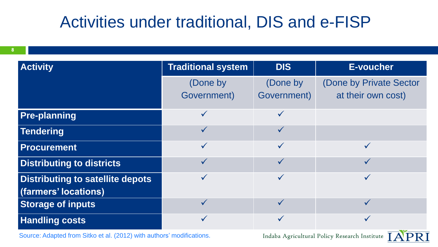### Activities under traditional, DIS and e-FISP

| <b>Activity</b>                         | <b>Traditional system</b> | <b>DIS</b>   | <b>E-voucher</b>        |
|-----------------------------------------|---------------------------|--------------|-------------------------|
|                                         | (Done by                  | (Done by     | (Done by Private Sector |
|                                         | Government)               | Government)  | at their own cost)      |
| <b>Pre-planning</b>                     | $\checkmark$              |              |                         |
| <b>Tendering</b>                        | $\checkmark$              |              |                         |
| <b>Procurement</b>                      | $\checkmark$              |              |                         |
| <b>Distributing to districts</b>        | ✓                         | $\checkmark$ |                         |
| <b>Distributing to satellite depots</b> | $\checkmark$              | $\checkmark$ |                         |
| (farmers' locations)                    |                           |              |                         |
| <b>Storage of inputs</b>                | $\checkmark$              | $\checkmark$ |                         |
| <b>Handling costs</b>                   |                           |              |                         |

Source: Adapted from Sitko et al. (2012) with authors' modifications.

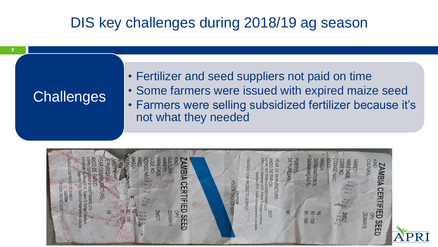### DIS key challenges during 2018/19 ag season

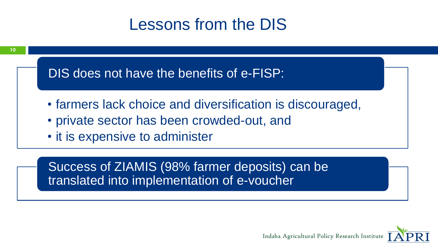### Lessons from the DIS



Success of ZIAMIS (98% farmer deposits) can be translated into implementation of e-voucher

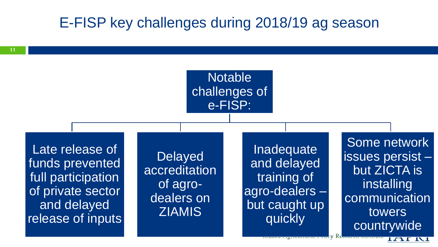#### E-FISP key challenges during 2018/19 ag season



Some network issues persist – but ZICTA is installing communication towers countrywide

**IAI NI** 

IV Re<del>search Institut</del>

**11**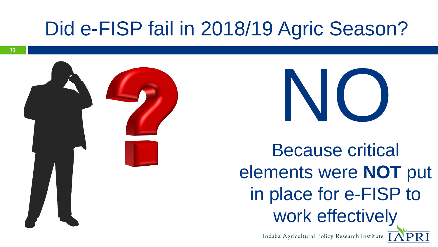# Did e-FISP fail in 2018/19 Agric Season?





Because critical elements were **NOT** put in place for e-FISP to work effectively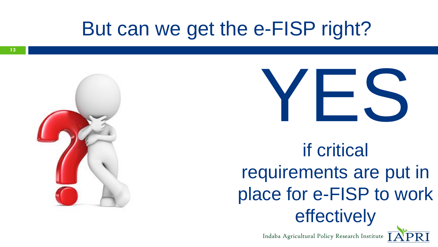# But can we get the e-FISP right?





if critical requirements are put in place for e-FISP to work effectively

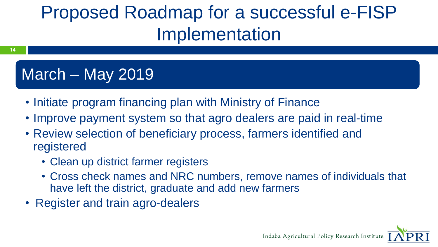# Proposed Roadmap for a successful e-FISP Implementation

### March – May 2019

**14**

- Initiate program financing plan with Ministry of Finance
- Improve payment system so that agro dealers are paid in real-time
- Review selection of beneficiary process, farmers identified and registered
	- Clean up district farmer registers
	- Cross check names and NRC numbers, remove names of individuals that have left the district, graduate and add new farmers
- Register and train agro-dealers

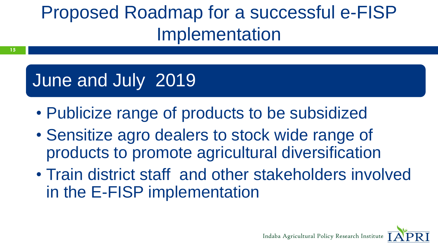# Proposed Roadmap for a successful e-FISP Implementation

# June and July 2019

**15**

- Publicize range of products to be subsidized
- Sensitize agro dealers to stock wide range of products to promote agricultural diversification
- Train district staff and other stakeholders involved in the E-FISP implementation

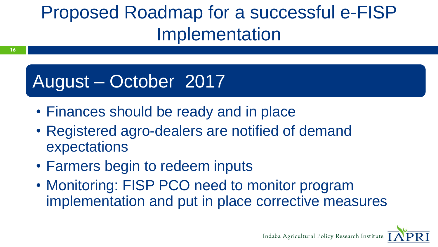# Proposed Roadmap for a successful e-FISP Implementation

# August – October 2017

**16**

- Finances should be ready and in place
- Registered agro-dealers are notified of demand expectations
- Farmers begin to redeem inputs
- Monitoring: FISP PCO need to monitor program implementation and put in place corrective measures

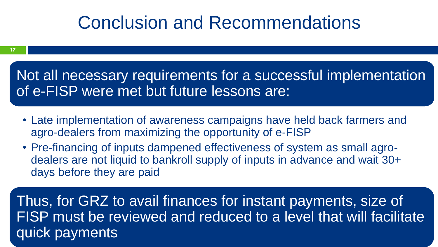## Conclusion and Recommendations

Not all necessary requirements for a successful implementation of e-FISP were met but future lessons are:

- Late implementation of awareness campaigns have held back farmers and agro-dealers from maximizing the opportunity of e-FISP
- Pre-financing of inputs dampened effectiveness of system as small agrodealers are not liquid to bankroll supply of inputs in advance and wait 30+ days before they are paid

Thus, for GRZ to avail finances for instant payments, size of FISP must be reviewed and reduced to a level that will facilitate quick payments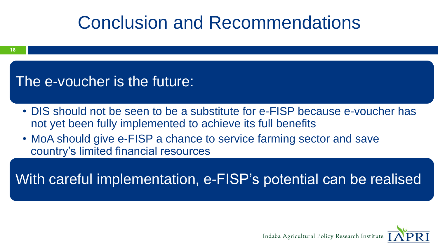# Conclusion and Recommendations

#### The e-voucher is the future:

- DIS should not be seen to be a substitute for e-FISP because e-voucher has not yet been fully implemented to achieve its full benefits
- MoA should give e-FISP a chance to service farming sector and save country's limited financial resources

With careful implementation, e-FISP's potential can be realised